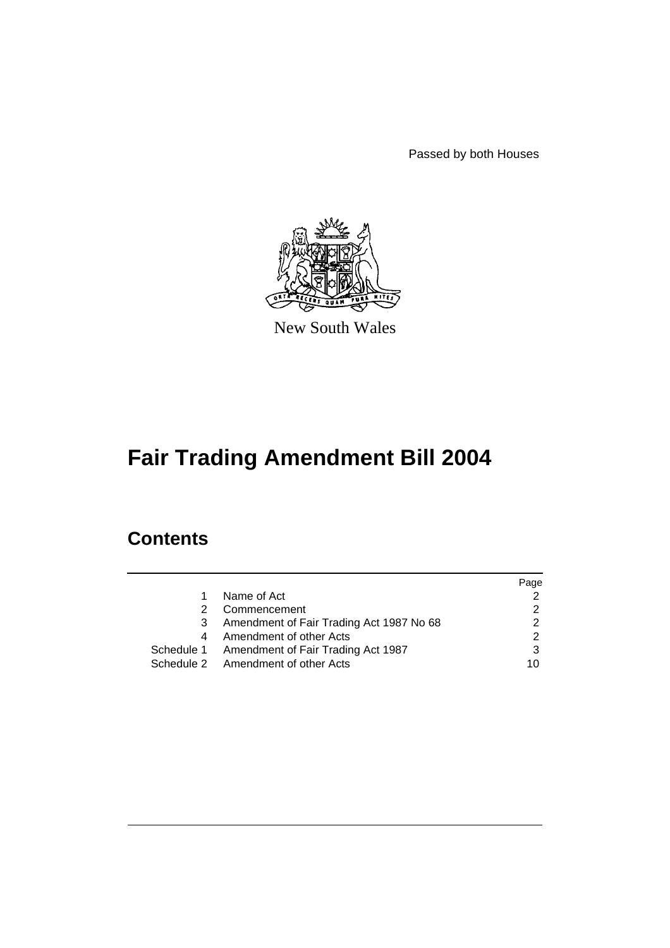Passed by both Houses



New South Wales

# **Fair Trading Amendment Bill 2004**

# **Contents**

|    |                                               | Page |
|----|-----------------------------------------------|------|
| 1. | Name of Act                                   |      |
| 2  | Commencement                                  |      |
| 3  | Amendment of Fair Trading Act 1987 No 68      | າ    |
|    | 4 Amendment of other Acts                     |      |
|    | Schedule 1 Amendment of Fair Trading Act 1987 |      |
|    | Schedule 2 Amendment of other Acts            | 10   |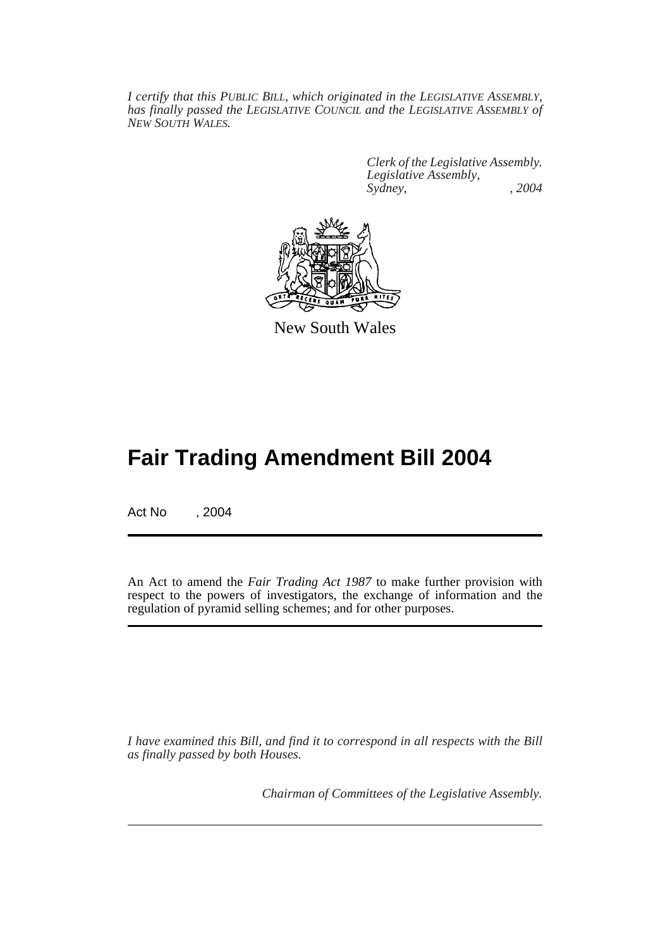*I certify that this PUBLIC BILL, which originated in the LEGISLATIVE ASSEMBLY, has finally passed the LEGISLATIVE COUNCIL and the LEGISLATIVE ASSEMBLY of NEW SOUTH WALES.*

> *Clerk of the Legislative Assembly. Legislative Assembly, Sydney, , 2004*



New South Wales

# **Fair Trading Amendment Bill 2004**

Act No , 2004

An Act to amend the *Fair Trading Act 1987* to make further provision with respect to the powers of investigators, the exchange of information and the regulation of pyramid selling schemes; and for other purposes.

*I have examined this Bill, and find it to correspond in all respects with the Bill as finally passed by both Houses.*

*Chairman of Committees of the Legislative Assembly.*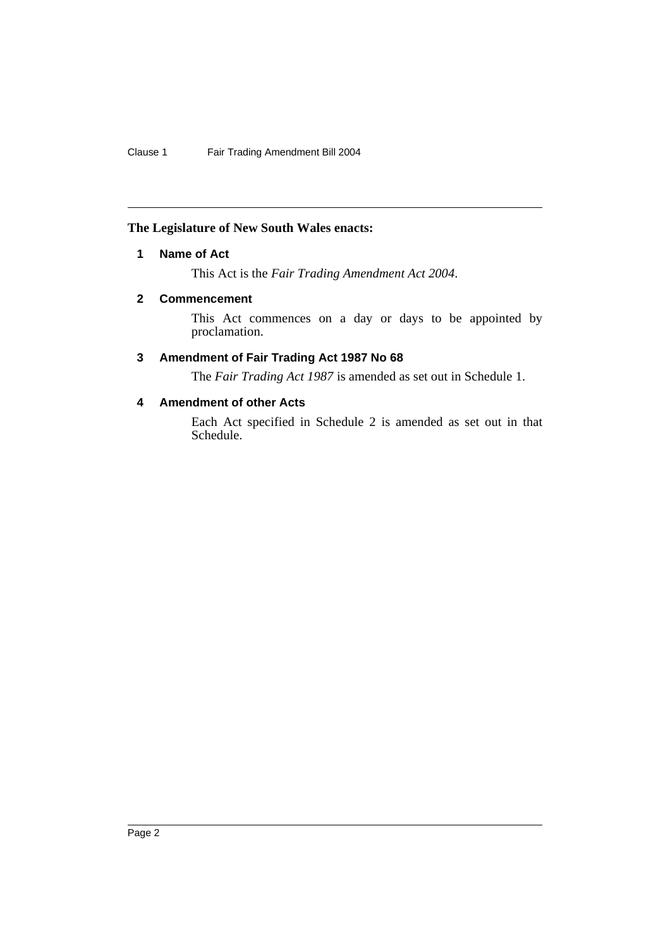# **The Legislature of New South Wales enacts:**

# **1 Name of Act**

This Act is the *Fair Trading Amendment Act 2004*.

# **2 Commencement**

This Act commences on a day or days to be appointed by proclamation.

# **3 Amendment of Fair Trading Act 1987 No 68**

The *Fair Trading Act 1987* is amended as set out in Schedule 1.

# **4 Amendment of other Acts**

Each Act specified in Schedule 2 is amended as set out in that Schedule.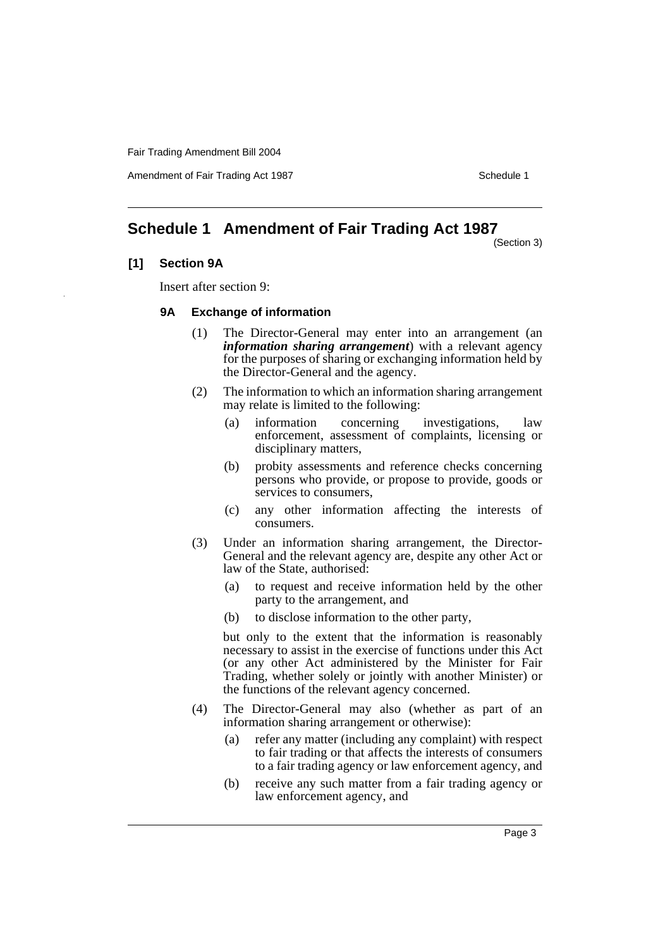Amendment of Fair Trading Act 1987 Schedule 1

# **Schedule 1 Amendment of Fair Trading Act 1987**

(Section 3)

# **[1] Section 9A**

Insert after section 9:

# **9A Exchange of information**

- (1) The Director-General may enter into an arrangement (an *information sharing arrangement*) with a relevant agency for the purposes of sharing or exchanging information held by the Director-General and the agency.
- (2) The information to which an information sharing arrangement may relate is limited to the following:
	- (a) information concerning investigations, law enforcement, assessment of complaints, licensing or disciplinary matters,
	- (b) probity assessments and reference checks concerning persons who provide, or propose to provide, goods or services to consumers,
	- (c) any other information affecting the interests of consumers.
- (3) Under an information sharing arrangement, the Director-General and the relevant agency are, despite any other Act or law of the State, authorised:
	- (a) to request and receive information held by the other party to the arrangement, and
	- (b) to disclose information to the other party,

but only to the extent that the information is reasonably necessary to assist in the exercise of functions under this Act (or any other Act administered by the Minister for Fair Trading, whether solely or jointly with another Minister) or the functions of the relevant agency concerned.

- (4) The Director-General may also (whether as part of an information sharing arrangement or otherwise):
	- (a) refer any matter (including any complaint) with respect to fair trading or that affects the interests of consumers to a fair trading agency or law enforcement agency, and
	- (b) receive any such matter from a fair trading agency or law enforcement agency, and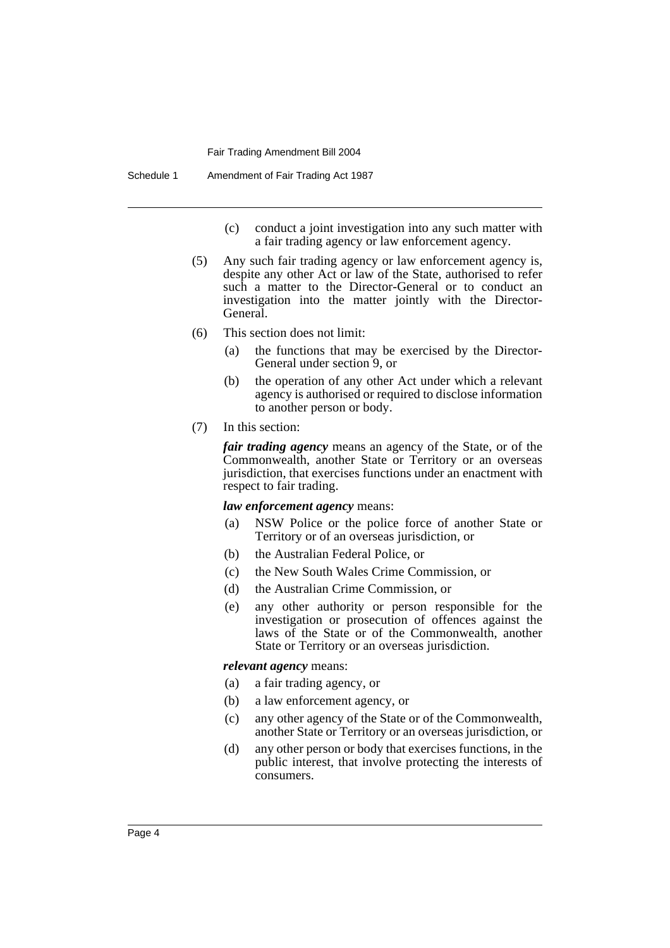- (c) conduct a joint investigation into any such matter with a fair trading agency or law enforcement agency.
- (5) Any such fair trading agency or law enforcement agency is, despite any other Act or law of the State, authorised to refer such a matter to the Director-General or to conduct an investigation into the matter jointly with the Director-General.
- (6) This section does not limit:
	- (a) the functions that may be exercised by the Director-General under section 9, or
	- (b) the operation of any other Act under which a relevant agency is authorised or required to disclose information to another person or body.
- (7) In this section:

*fair trading agency* means an agency of the State, or of the Commonwealth, another State or Territory or an overseas jurisdiction, that exercises functions under an enactment with respect to fair trading.

## *law enforcement agency* means:

- (a) NSW Police or the police force of another State or Territory or of an overseas jurisdiction, or
- (b) the Australian Federal Police, or
- (c) the New South Wales Crime Commission, or
- (d) the Australian Crime Commission, or
- (e) any other authority or person responsible for the investigation or prosecution of offences against the laws of the State or of the Commonwealth, another State or Territory or an overseas jurisdiction.

#### *relevant agency* means:

- (a) a fair trading agency, or
- (b) a law enforcement agency, or
- (c) any other agency of the State or of the Commonwealth, another State or Territory or an overseas jurisdiction, or
- (d) any other person or body that exercises functions, in the public interest, that involve protecting the interests of consumers.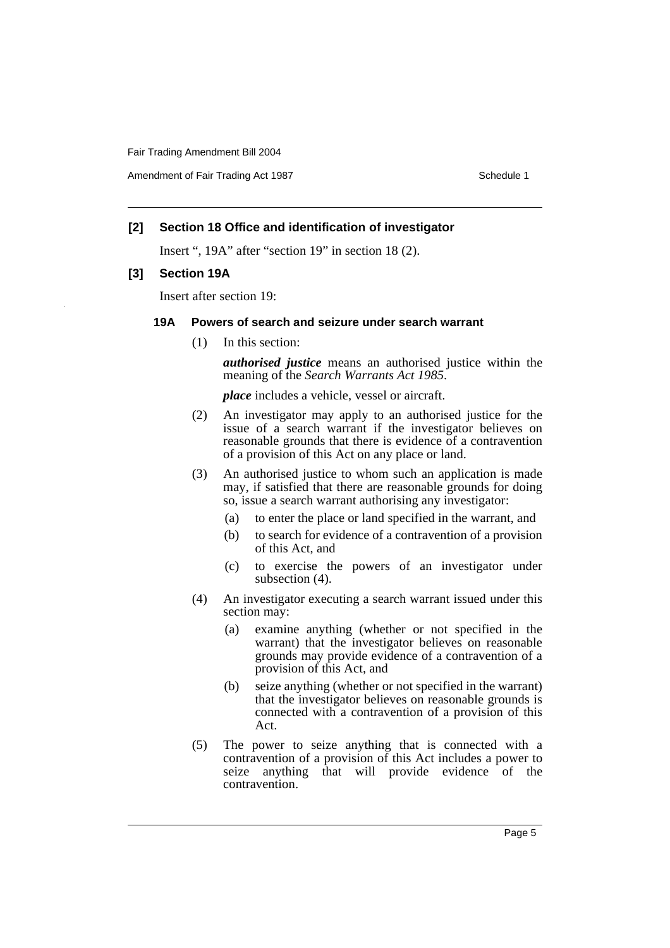Amendment of Fair Trading Act 1987 Schedule 1

# **[2] Section 18 Office and identification of investigator**

Insert ", 19A" after "section 19" in section 18 (2).

# **[3] Section 19A**

Insert after section 19:

## **19A Powers of search and seizure under search warrant**

(1) In this section:

*authorised justice* means an authorised justice within the meaning of the *Search Warrants Act 1985*.

*place* includes a vehicle, vessel or aircraft.

- (2) An investigator may apply to an authorised justice for the issue of a search warrant if the investigator believes on reasonable grounds that there is evidence of a contravention of a provision of this Act on any place or land.
- (3) An authorised justice to whom such an application is made may, if satisfied that there are reasonable grounds for doing so, issue a search warrant authorising any investigator:
	- (a) to enter the place or land specified in the warrant, and
	- (b) to search for evidence of a contravention of a provision of this Act, and
	- (c) to exercise the powers of an investigator under subsection  $(4)$ .
- (4) An investigator executing a search warrant issued under this section may:
	- (a) examine anything (whether or not specified in the warrant) that the investigator believes on reasonable grounds may provide evidence of a contravention of a provision of this Act, and
	- (b) seize anything (whether or not specified in the warrant) that the investigator believes on reasonable grounds is connected with a contravention of a provision of this Act.
- (5) The power to seize anything that is connected with a contravention of a provision of this Act includes a power to seize anything that will provide evidence of the contravention.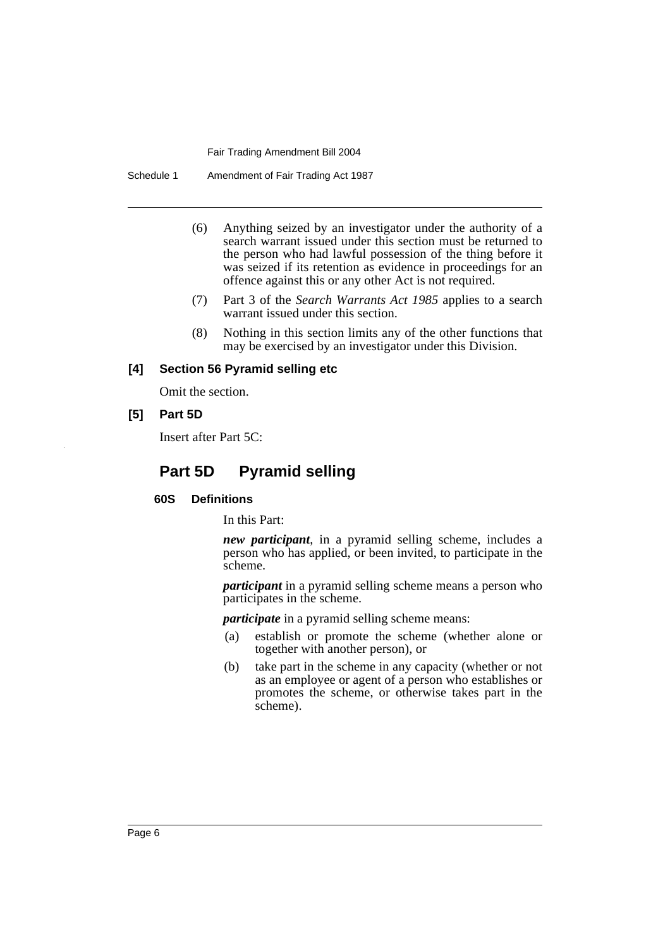Schedule 1 Amendment of Fair Trading Act 1987

- (6) Anything seized by an investigator under the authority of a search warrant issued under this section must be returned to the person who had lawful possession of the thing before it was seized if its retention as evidence in proceedings for an offence against this or any other Act is not required.
- (7) Part 3 of the *Search Warrants Act 1985* applies to a search warrant issued under this section.
- (8) Nothing in this section limits any of the other functions that may be exercised by an investigator under this Division.

# **[4] Section 56 Pyramid selling etc**

Omit the section.

**[5] Part 5D**

Insert after Part 5C:

# **Part 5D Pyramid selling**

## **60S Definitions**

In this Part:

*new participant*, in a pyramid selling scheme, includes a person who has applied, or been invited, to participate in the scheme.

*participant* in a pyramid selling scheme means a person who participates in the scheme.

*participate* in a pyramid selling scheme means:

- (a) establish or promote the scheme (whether alone or together with another person), or
- (b) take part in the scheme in any capacity (whether or not as an employee or agent of a person who establishes or promotes the scheme, or otherwise takes part in the scheme).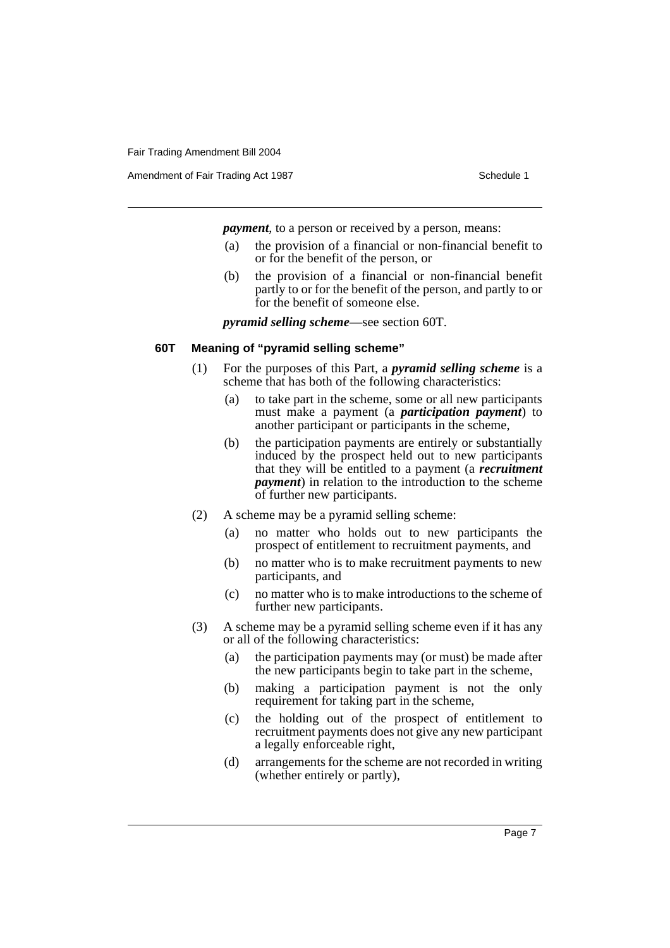Amendment of Fair Trading Act 1987 Schedule 1

*payment*, to a person or received by a person, means:

- (a) the provision of a financial or non-financial benefit to or for the benefit of the person, or
- (b) the provision of a financial or non-financial benefit partly to or for the benefit of the person, and partly to or for the benefit of someone else.

*pyramid selling scheme*—see section 60T.

## **60T Meaning of "pyramid selling scheme"**

- (1) For the purposes of this Part, a *pyramid selling scheme* is a scheme that has both of the following characteristics:
	- (a) to take part in the scheme, some or all new participants must make a payment (a *participation payment*) to another participant or participants in the scheme,
	- (b) the participation payments are entirely or substantially induced by the prospect held out to new participants that they will be entitled to a payment (a *recruitment payment*) in relation to the introduction to the scheme of further new participants.
- (2) A scheme may be a pyramid selling scheme:
	- (a) no matter who holds out to new participants the prospect of entitlement to recruitment payments, and
	- (b) no matter who is to make recruitment payments to new participants, and
	- (c) no matter who is to make introductions to the scheme of further new participants.
- (3) A scheme may be a pyramid selling scheme even if it has any or all of the following characteristics:
	- (a) the participation payments may (or must) be made after the new participants begin to take part in the scheme,
	- (b) making a participation payment is not the only requirement for taking part in the scheme,
	- (c) the holding out of the prospect of entitlement to recruitment payments does not give any new participant a legally enforceable right,
	- (d) arrangements for the scheme are not recorded in writing (whether entirely or partly),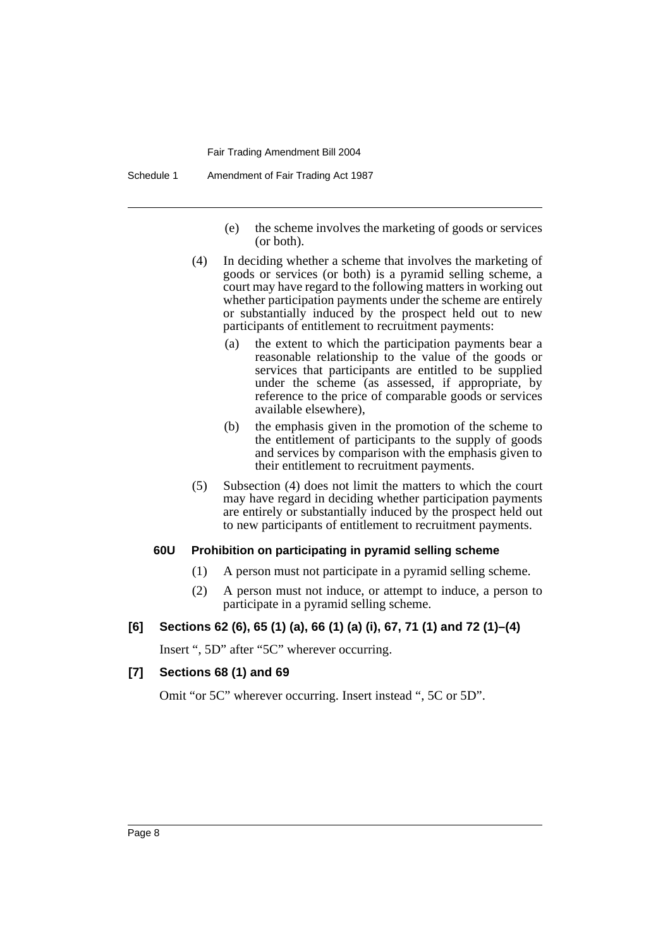Schedule 1 Amendment of Fair Trading Act 1987

- (e) the scheme involves the marketing of goods or services (or both).
- (4) In deciding whether a scheme that involves the marketing of goods or services (or both) is a pyramid selling scheme, a court may have regard to the following matters in working out whether participation payments under the scheme are entirely or substantially induced by the prospect held out to new participants of entitlement to recruitment payments:
	- (a) the extent to which the participation payments bear a reasonable relationship to the value of the goods or services that participants are entitled to be supplied under the scheme (as assessed, if appropriate, by reference to the price of comparable goods or services available elsewhere),
	- (b) the emphasis given in the promotion of the scheme to the entitlement of participants to the supply of goods and services by comparison with the emphasis given to their entitlement to recruitment payments.
- (5) Subsection (4) does not limit the matters to which the court may have regard in deciding whether participation payments are entirely or substantially induced by the prospect held out to new participants of entitlement to recruitment payments.

## **60U Prohibition on participating in pyramid selling scheme**

- (1) A person must not participate in a pyramid selling scheme.
- (2) A person must not induce, or attempt to induce, a person to participate in a pyramid selling scheme.

# **[6] Sections 62 (6), 65 (1) (a), 66 (1) (a) (i), 67, 71 (1) and 72 (1)–(4)**

Insert ", 5D" after "5C" wherever occurring.

## **[7] Sections 68 (1) and 69**

Omit "or 5C" wherever occurring. Insert instead ", 5C or 5D".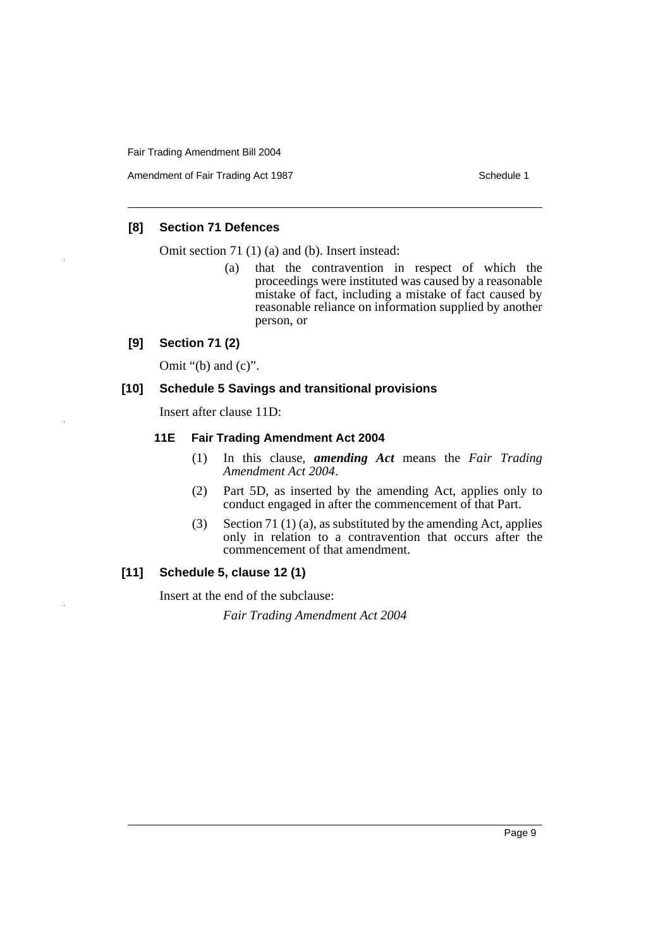Amendment of Fair Trading Act 1987 Schedule 1

# **[8] Section 71 Defences**

Omit section 71 (1) (a) and (b). Insert instead:

(a) that the contravention in respect of which the proceedings were instituted was caused by a reasonable mistake of fact, including a mistake of fact caused by reasonable reliance on information supplied by another person, or

# **[9] Section 71 (2)**

Omit " $(b)$  and  $(c)$ ".

# **[10] Schedule 5 Savings and transitional provisions**

Insert after clause 11D:

# **11E Fair Trading Amendment Act 2004**

- (1) In this clause, *amending Act* means the *Fair Trading Amendment Act 2004*.
- (2) Part 5D, as inserted by the amending Act, applies only to conduct engaged in after the commencement of that Part.
- (3) Section 71 (1) (a), as substituted by the amending Act, applies only in relation to a contravention that occurs after the commencement of that amendment.

# **[11] Schedule 5, clause 12 (1)**

Insert at the end of the subclause:

*Fair Trading Amendment Act 2004*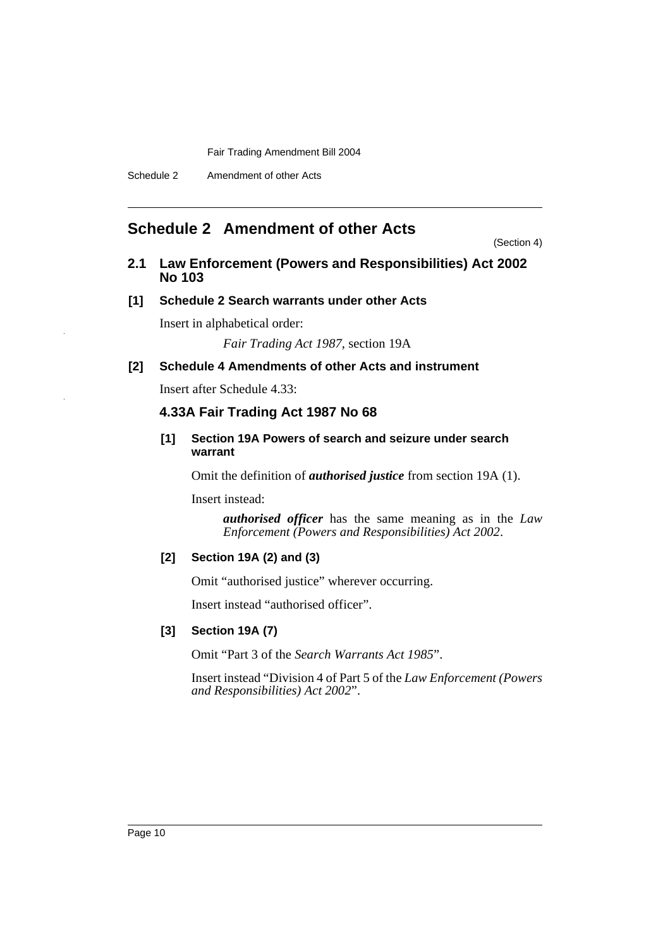# **Schedule 2 Amendment of other Acts**

(Section 4)

# **2.1 Law Enforcement (Powers and Responsibilities) Act 2002 No 103**

# **[1] Schedule 2 Search warrants under other Acts**

Insert in alphabetical order:

*Fair Trading Act 1987*, section 19A

# **[2] Schedule 4 Amendments of other Acts and instrument**

Insert after Schedule 4.33:

# **4.33A Fair Trading Act 1987 No 68**

# **[1] Section 19A Powers of search and seizure under search warrant**

Omit the definition of *authorised justice* from section 19A (1).

Insert instead:

*authorised officer* has the same meaning as in the *Law Enforcement (Powers and Responsibilities) Act 2002*.

# **[2] Section 19A (2) and (3)**

Omit "authorised justice" wherever occurring.

Insert instead "authorised officer".

# **[3] Section 19A (7)**

Omit "Part 3 of the *Search Warrants Act 1985*".

Insert instead "Division 4 of Part 5 of the *Law Enforcement (Powers and Responsibilities) Act 2002*".